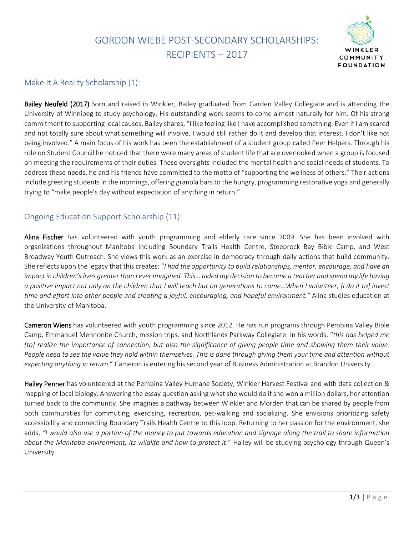## GORDON WIEBE POST-SECONDARY SCHOLARSHIPS: RECIPIENTS – 2017



## Make It A Reality Scholarship (1):

Bailey Neufeld (2017) Born and raised in Winkler, Bailey graduated from Garden Valley Collegiate and is attending the University of Winnipeg to study psychology. His outstanding work seems to come almost naturally for him. Of his strong commitment to supporting local causes, Bailey shares, "I like feeling like I have accomplished something. Even if I am scared and not totally sure about what something will involve, I would still rather do it and develop that interest. I don't like not being involved." A main focus of his work has been the establishment of a student group called Peer Helpers. Through his role on Student Council he noticed that there were many areas of student life that are overlooked when a group is focused on meeting the requirements of their duties. These oversights included the mental health and social needs of students. To address these needs, he and his friends have committed to the motto of "supporting the wellness of others." Their actions include greeting students in the mornings, offering granola bars to the hungry, programming restorative yoga and generally trying to "make people's day without expectation of anything in return."

## Ongoing Education Support Scholarship (11):

Alina Fischer has volunteered with youth programming and elderly care since 2009. She has been involved with organizations throughout Manitoba including Boundary Trails Health Centre, Steeprock Bay Bible Camp, and West Broadway Youth Outreach. She views this work as an exercise in democracy through daily actions that build community. She reflects upon the legacy that this creates: "*I had the opportunity to build relationships, mentor, encourage, and have an impact in children's lives greater than I ever imagined. This… aided my decision to become a teacher and spend my life having a positive impact not only on the children that I will teach but on generations to come…When I volunteer, [I do it to] invest time and effort into other people and creating a joyful, encouraging, and hopeful environment."* Alina studies education at the University of Manitoba.

Cameron Wiens has volunteered with youth programming since 2012. He has run programs through Pembina Valley Bible Camp, Emmanuel Mennonite Church, mission trips, and Northlands Parkway Collegiate. In his words, "*this has helped me [to] realize the importance of connection, but also the significance of giving people time and showing them their value. People need to see the value they hold within themselves. This is done through giving them your time and attention without expecting anything in return*." Cameron is entering his second year of Business Administration at Brandon University.

Hailey Penner has volunteered at the Pembina Valley Humane Society, Winkler Harvest Festival and with data collection & mapping of local biology. Answering the essay question asking whatshe would do if she won a million dollars, her attention turned back to the community. She imagines a pathway between Winkler and Morden that can be shared by people from both communities for commuting, exercising, recreation, pet-walking and socializing. She envisions prioritizing safety accessibility and connecting Boundary Trails Health Centre to this loop. Returning to her passion for the environment, she adds, *"I would also use a portion of the money to put towards education and signage along the trail to share information about the Manitoba environment, its wildlife and how to protect it*." Hailey will be studying psychology through Queen's University.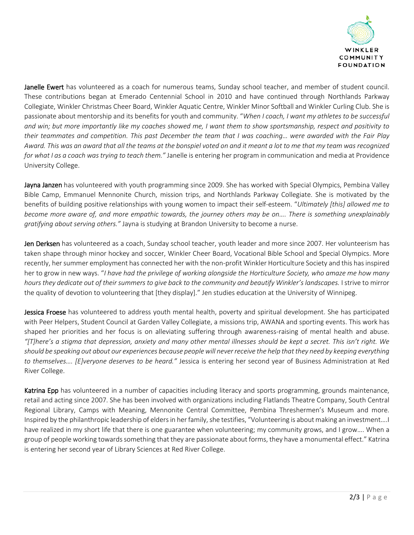

Janelle Ewert has volunteered as a coach for numerous teams, Sunday school teacher, and member of student council. These contributions began at Emerado Centennial School in 2010 and have continued through Northlands Parkway Collegiate, Winkler Christmas Cheer Board, Winkler Aquatic Centre, Winkler Minor Softball and Winkler Curling Club. She is passionate about mentorship and its benefits for youth and community. "*When I coach, I want my athletes to be successful and win; but more importantly like my coaches showed me, I want them to show sportsmanship, respect and positivity to their teammates and competition. This past December the team that I was coaching… were awarded with the Fair Play Award. This was an award that all the teams at the bonspiel voted on and it meant a lot to me that my team was recognized for what I as a coach was trying to teach them."* Janelle is entering her program in communication and media at Providence University College.

Jayna Janzen has volunteered with youth programming since 2009. She has worked with Special Olympics, Pembina Valley Bible Camp, Emmanuel Mennonite Church, mission trips, and Northlands Parkway Collegiate. She is motivated by the benefits of building positive relationships with young women to impact their self-esteem. "*Ultimately [this] allowed me to become more aware of, and more empathic towards, the journey others may be on…. There is something unexplainably gratifying about serving others."* Jayna is studying at Brandon University to become a nurse.

Jen Derksen has volunteered as a coach, Sunday school teacher, youth leader and more since 2007. Her volunteerism has taken shape through minor hockey and soccer, Winkler Cheer Board, Vocational Bible School and Special Olympics. More recently, her summer employment has connected her with the non-profit Winkler Horticulture Society and this has inspired her to grow in new ways. "*I have had the privilege of working alongside the Horticulture Society, who amaze me how many hours they dedicate out of their summers to give back to the community and beautify Winkler's landscapes.* I strive to mirror the quality of devotion to volunteering that [they display]." Jen studies education at the University of Winnipeg.

Jessica Froese has volunteered to address youth mental health, poverty and spiritual development. She has participated with Peer Helpers, Student Council at Garden Valley Collegiate, a missions trip, AWANA and sporting events. This work has shaped her priorities and her focus is on alleviating suffering through awareness-raising of mental health and abuse. *"[T]here's a stigma that depression, anxiety and many other mental illnesses should be kept a secret. This isn't right. We should be speaking out about our experiences because people will never receive the help that they need by keeping everything to themselves…. [E]veryone deserves to be heard."* Jessica is entering her second year of Business Administration at Red River College.

Katrina Epp has volunteered in a number of capacities including literacy and sports programming, grounds maintenance, retail and acting since 2007. She has been involved with organizations including Flatlands Theatre Company, South Central Regional Library, Camps with Meaning, Mennonite Central Committee, Pembina Threshermen's Museum and more. Inspired by the philanthropic leadership of elders in her family, she testifies, "Volunteering is about making an investment….I have realized in my short life that there is one guarantee when volunteering; my community grows, and I grow…. When a group of people working towards something that they are passionate about forms, they have a monumental effect." Katrina is entering her second year of Library Sciences at Red River College.